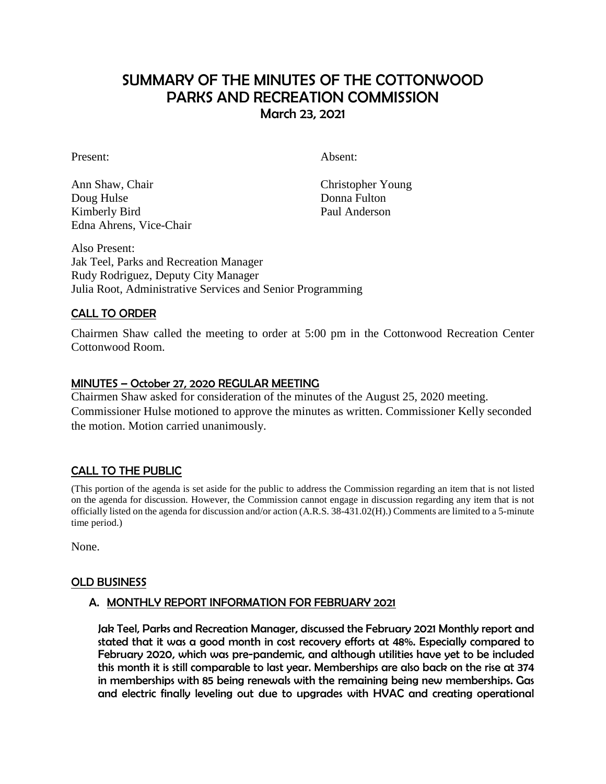# SUMMARY OF THE MINUTES OF THE COTTONWOOD PARKS AND RECREATION COMMISSION March 23, 2021

Present: Absent:

Ann Shaw, Chair Christopher Young Doug Hulse Donna Fulton Kimberly Bird Paul Anderson Edna Ahrens, Vice-Chair

Also Present: Jak Teel, Parks and Recreation Manager Rudy Rodriguez, Deputy City Manager Julia Root, Administrative Services and Senior Programming

# CALL TO ORDER

Chairmen Shaw called the meeting to order at 5:00 pm in the Cottonwood Recreation Center Cottonwood Room.

## MINUTES – October 27, 2020 REGULAR MEETING

Chairmen Shaw asked for consideration of the minutes of the August 25, 2020 meeting. Commissioner Hulse motioned to approve the minutes as written. Commissioner Kelly seconded the motion. Motion carried unanimously.

# CALL TO THE PUBLIC

(This portion of the agenda is set aside for the public to address the Commission regarding an item that is not listed on the agenda for discussion. However, the Commission cannot engage in discussion regarding any item that is not officially listed on the agenda for discussion and/or action (A.R.S. 38-431.02(H).) Comments are limited to a 5-minute time period.)

None.

#### OLD BUSINESS

#### A. MONTHLY REPORT INFORMATION FOR FEBRUARY 2021

Jak Teel, Parks and Recreation Manager, discussed the February 2021 Monthly report and stated that it was a good month in cost recovery efforts at 48%. Especially compared to February 2020, which was pre-pandemic, and although utilities have yet to be included this month it is still comparable to last year. Memberships are also back on the rise at 374 in memberships with 85 being renewals with the remaining being new memberships. Gas and electric finally leveling out due to upgrades with HVAC and creating operational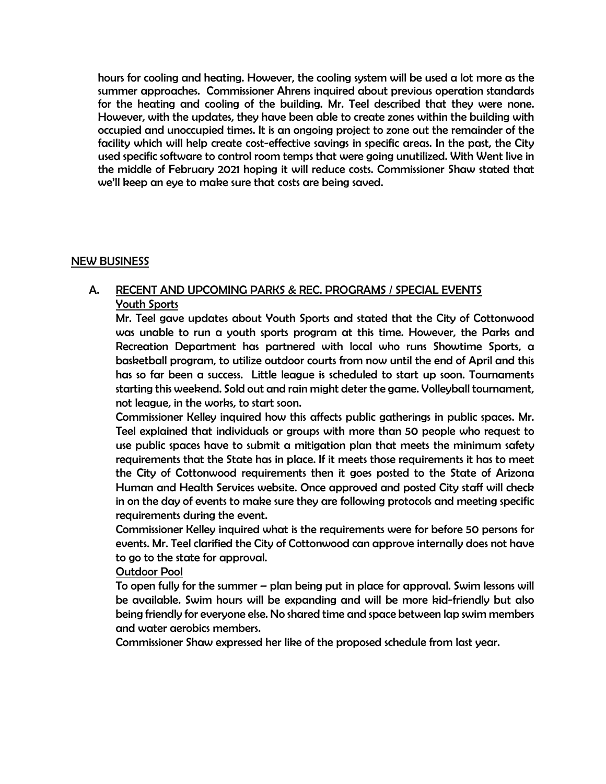hours for cooling and heating. However, the cooling system will be used a lot more as the summer approaches. Commissioner Ahrens inquired about previous operation standards for the heating and cooling of the building. Mr. Teel described that they were none. However, with the updates, they have been able to create zones within the building with occupied and unoccupied times. It is an ongoing project to zone out the remainder of the facility which will help create cost-effective savings in specific areas. In the past, the City used specific software to control room temps that were going unutilized. With Went live in the middle of February 2021 hoping it will reduce costs. Commissioner Shaw stated that we'll keep an eye to make sure that costs are being saved.

## NEW BUSINESS

# A. RECENT AND UPCOMING PARKS & REC. PROGRAMS / SPECIAL EVENTS Youth Sports

Mr. Teel gave updates about Youth Sports and stated that the City of Cottonwood was unable to run a youth sports program at this time. However, the Parks and Recreation Department has partnered with local who runs Showtime Sports, a basketball program, to utilize outdoor courts from now until the end of April and this has so far been a success. Little league is scheduled to start up soon. Tournaments starting this weekend. Sold out and rain might deter the game. Volleyball tournament, not league, in the works, to start soon.

Commissioner Kelley inquired how this affects public gatherings in public spaces. Mr. Teel explained that individuals or groups with more than 50 people who request to use public spaces have to submit a mitigation plan that meets the minimum safety requirements that the State has in place. If it meets those requirements it has to meet the City of Cottonwood requirements then it goes posted to the State of Arizona Human and Health Services website. Once approved and posted City staff will check in on the day of events to make sure they are following protocols and meeting specific requirements during the event.

Commissioner Kelley inquired what is the requirements were for before 50 persons for events. Mr. Teel clarified the City of Cottonwood can approve internally does not have to go to the state for approval.

#### Outdoor Pool

To open fully for the summer – plan being put in place for approval. Swim lessons will be available. Swim hours will be expanding and will be more kid-friendly but also being friendly for everyone else. No shared time and space between lap swim members and water aerobics members.

Commissioner Shaw expressed her like of the proposed schedule from last year.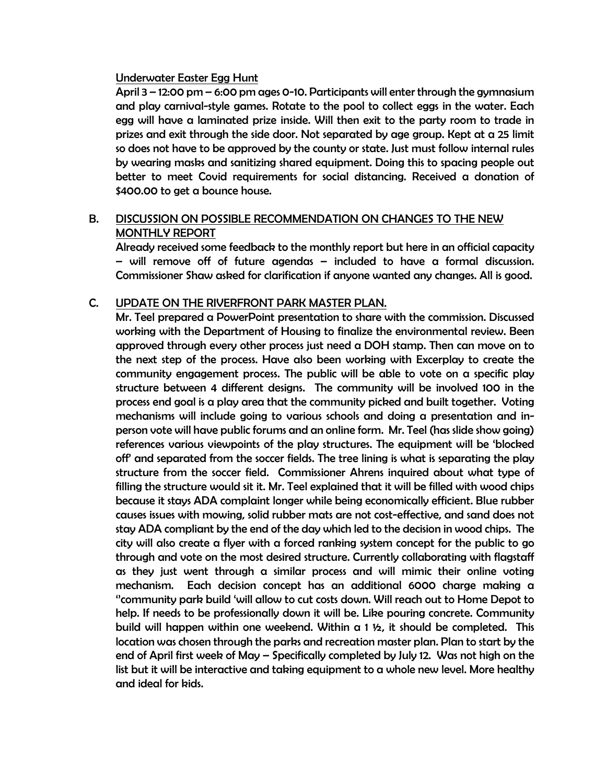#### Underwater Easter Egg Hunt

April 3 – 12:00 pm – 6:00 pm ages 0-10. Participants will enter through the gymnasium and play carnival-style games. Rotate to the pool to collect eggs in the water. Each egg will have a laminated prize inside. Will then exit to the party room to trade in prizes and exit through the side door. Not separated by age group. Kept at a 25 limit so does not have to be approved by the county or state. Just must follow internal rules by wearing masks and sanitizing shared equipment. Doing this to spacing people out better to meet Covid requirements for social distancing. Received a donation of \$400.00 to get a bounce house.

## B. DISCUSSION ON POSSIBLE RECOMMENDATION ON CHANGES TO THE NEW MONTHLY REPORT

Already received some feedback to the monthly report but here in an official capacity – will remove off of future agendas – included to have a formal discussion. Commissioner Shaw asked for clarification if anyone wanted any changes. All is good.

## C. UPDATE ON THE RIVERFRONT PARK MASTER PLAN.

Mr. Teel prepared a PowerPoint presentation to share with the commission. Discussed working with the Department of Housing to finalize the environmental review. Been approved through every other process just need a DOH stamp. Then can move on to the next step of the process. Have also been working with Excerplay to create the community engagement process. The public will be able to vote on a specific play structure between 4 different designs. The community will be involved 100 in the process end goal is a play area that the community picked and built together. Voting mechanisms will include going to various schools and doing a presentation and inperson vote will have public forums and an online form. Mr. Teel (has slide show going) references various viewpoints of the play structures. The equipment will be 'blocked off' and separated from the soccer fields. The tree lining is what is separating the play structure from the soccer field. Commissioner Ahrens inquired about what type of filling the structure would sit it. Mr. Teel explained that it will be filled with wood chips because it stays ADA complaint longer while being economically efficient. Blue rubber causes issues with mowing, solid rubber mats are not cost-effective, and sand does not stay ADA compliant by the end of the day which led to the decision in wood chips. The city will also create a flyer with a forced ranking system concept for the public to go through and vote on the most desired structure. Currently collaborating with flagstaff as they just went through a similar process and will mimic their online voting mechanism. Each decision concept has an additional 6000 charge making a ''community park build 'will allow to cut costs down. Will reach out to Home Depot to help. If needs to be professionally down it will be. Like pouring concrete. Community build will happen within one weekend. Within a 1 ½, it should be completed. This location was chosen through the parks and recreation master plan. Plan to start by the end of April first week of May – Specifically completed by July 12. Was not high on the list but it will be interactive and taking equipment to a whole new level. More healthy and ideal for kids.